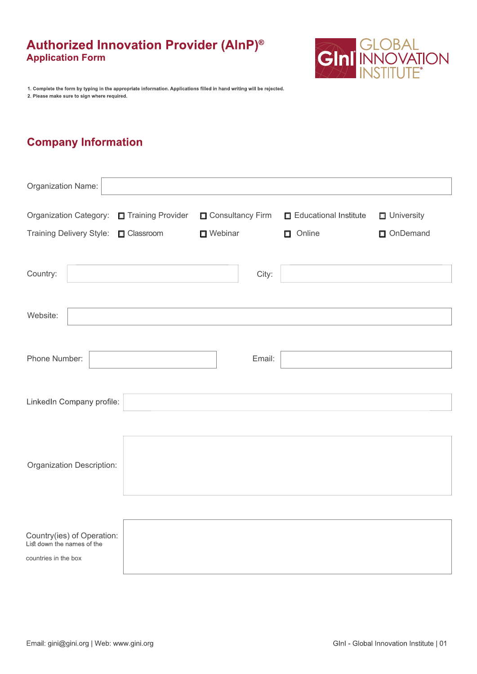

1. Complete the form by typing in the appropriate information. Applications filled in hand writing will be rejected. 2. Please make sure to sign where required.

# **Company Information**

| Organization Name:                                                               |                    |                  |                       |                   |
|----------------------------------------------------------------------------------|--------------------|------------------|-----------------------|-------------------|
| Organization Category:                                                           | Training Provider  | Consultancy Firm | Educational Institute | $\Box$ University |
| Training Delivery Style:                                                         | <b>O</b> Classroom | □ Webinar        | Online                | OnDemand          |
| Country:                                                                         |                    | City:            |                       |                   |
| Website:                                                                         |                    |                  |                       |                   |
| Phone Number:                                                                    |                    | Email:           |                       |                   |
| LinkedIn Company profile:                                                        |                    |                  |                       |                   |
| Organization Description:                                                        |                    |                  |                       |                   |
|                                                                                  |                    |                  |                       |                   |
| Country(ies) of Operation:<br>List down the names of the<br>countries in the box |                    |                  |                       |                   |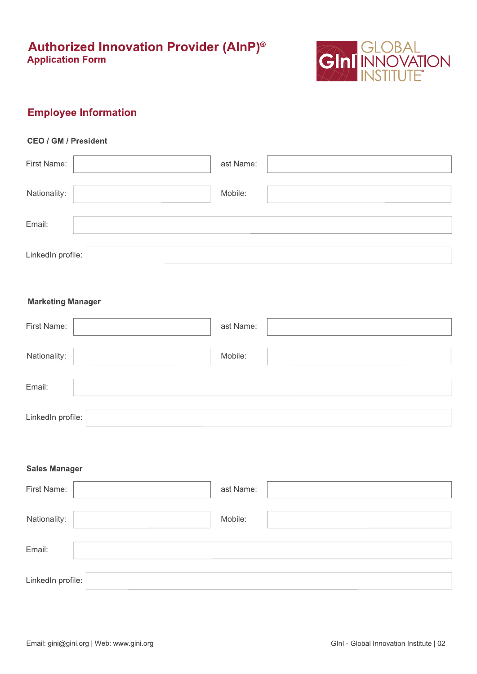

## **Employee Information**

### **CEO / GM / President**

| First Name:       | last Name: |  |
|-------------------|------------|--|
| Nationality:      | Mobile:    |  |
| Email:            |            |  |
| LinkedIn profile: |            |  |

### **Marketing Manager**

| First Name:       | last Name: |
|-------------------|------------|
| Nationality:      | Mobile:    |
| Email:            |            |
| LinkedIn profile: |            |

### **Sales Manager**

| First Name:       | last Name: |  |
|-------------------|------------|--|
| Nationality:      | Mobile:    |  |
| Email:            |            |  |
| LinkedIn profile: |            |  |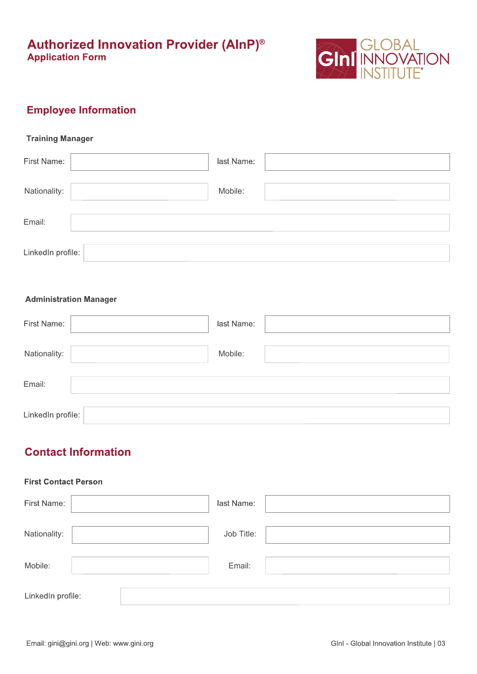

## **Employee Information**

### **Training Manager**

| First Name:       | last Name: |
|-------------------|------------|
| Nationality:      | Mobile:    |
| Email:            |            |
| LinkedIn profile: |            |

### **Administration Manager**

| First Name:       | last Name: |
|-------------------|------------|
| Nationality:      | Mobile:    |
| Email:            |            |
| LinkedIn profile: |            |

## **Contact Information**

### **First Contact Person**

| First Name:       | last Name: |  |
|-------------------|------------|--|
| Nationality:      | Job Title: |  |
| Mobile:           | Email:     |  |
| LinkedIn profile: |            |  |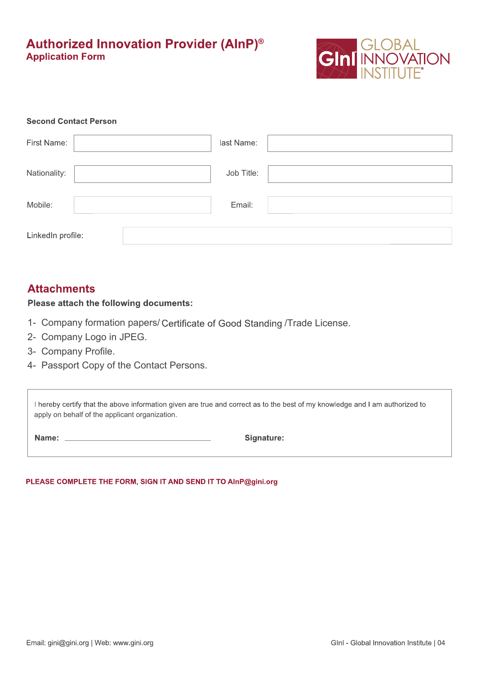

### **Second Contact Person**

| First Name:       | last Name: |  |
|-------------------|------------|--|
| Nationality:      | Job Title: |  |
| Mobile:           | Email:     |  |
| LinkedIn profile: |            |  |

## **Attachments**

### Please attach the following documents:

- 1- Company formation papers/ Certificate of Good Standing /Trade License.
- 2- Company Logo in JPEG.
- 3- Company Profile.
- 4- Passport Copy of the Contact Persons.

I hereby certify that the above information given are true and correct as to the best of my knowledge and I am authorized to apply on behalf of the applicant organization.

Name: \_\_

Signature:

PLEASE COMPLETE THE FORM, SIGN IT AND SEND IT TO AInP@gini.org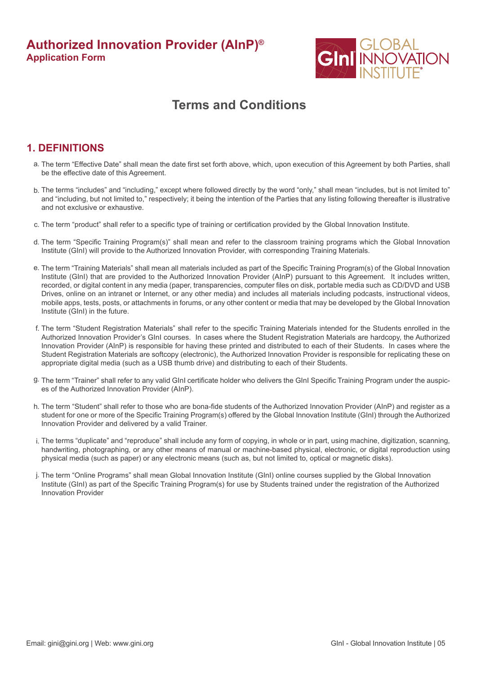

# **Terms and Conditions**

## **1. DEFINITIONS**

- The term "Effective Date" shall mean the date first set forth above, which, upon execution of this Agreement by both Parties, shall a. be the effective date of this Agreement.
- The terms "includes" and "including," except where followed directly by the word "only," shall mean "includes, but is not limited to" b. and "including, but not limited to," respectively; it being the intention of the Parties that any listing following thereafter is illustrative and not exclusive or exhaustive.
- c. The term "product" shall refer to a specific type of training or certification provided by the Global Innovation Institute.
- d. The term "Specific Training Program(s)" shall mean and refer to the classroom training programs which the Global Innovation Institute (GInI) will provide to the Authorized Innovation Provider, with corresponding Training Materials.
- e. The term "Training Materials" shall mean all materials included as part of the Specific Training Program(s) of the Global Innovation Institute (GInI) that are provided to the Authorized Innovation Provider (AInP) pursuant to this Agreement. It includes written, recorded, or digital content in any media (paper, transparencies, computer files on disk, portable media such as CD/DVD and USB Drives, online on an intranet or Internet, or any other media) and includes all materials including podcasts, instructional videos, mobile apps, tests, posts, or attachments in forums, or any other content or media that may be developed by the Global Innovation Institute (GInI) in the future.
- f. The term "Student Registration Materials" shall refer to the specific Training Materials intended for the Students enrolled in the Authorized Innovation Provider's GInI courses. In cases where the Student Registration Materials are hardcopy, the Authorized Innovation Provider (AInP) is responsible for having these printed and distributed to each of their Students. In cases where the Student Registration Materials are softcopy (electronic), the Authorized Innovation Provider is responsible for replicating these on appropriate digital media (such as a USB thumb drive) and distributing to each of their Students.
- The term "Trainer" shall refer to any valid GInI certificate holder who delivers the GInI Specific Training Program under the auspic-g. es of the Authorized Innovation Provider (AInP).
- h. The term "Student" shall refer to those who are bona-fide students of the Authorized Innovation Provider (AInP) and register as a student for one or more of the Specific Training Program(s) offered by the Global Innovation Institute (GInI) through the Authorized Innovation Provider and delivered by a valid Trainer.
- The terms "duplicate" and "reproduce" shall include any form of copying, in whole or in part, using machine, digitization, scanning, i. handwriting, photographing, or any other means of manual or machine-based physical, electronic, or digital reproduction using physical media (such as paper) or any electronic means (such as, but not limited to, optical or magnetic disks).
- The term "Online Programs" shall mean Global Innovation Institute (GInI) online courses supplied by the Global Innovation j. Institute (GInI) as part of the Specific Training Program(s) for use by Students trained under the registration of the Authorized Innovation Provider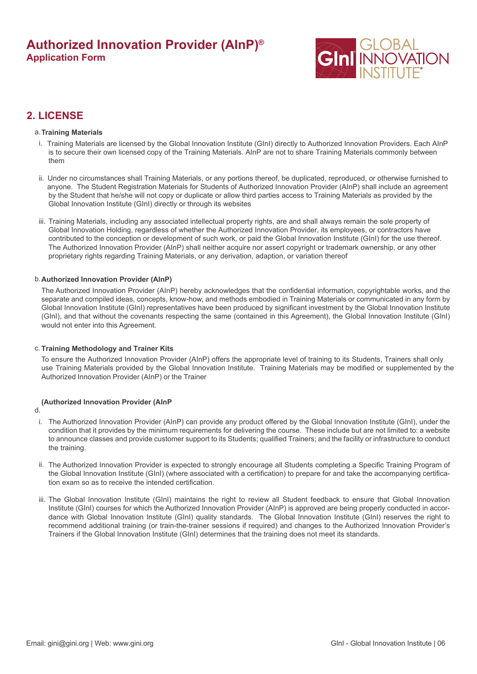

## **2. LICENSE**

#### **Training Materials** a.

- i. Training Materials are licensed by the Global Innovation Institute (GInI) directly to Authorized Innovation Providers. Each AInP is to secure their own licensed copy of the Training Materials. AInP are not to share Training Materials commonly between them
- ii. Under no circumstances shall Training Materials, or any portions thereof, be duplicated, reproduced, or otherwise furnished to anyone. The Student Registration Materials for Students of Authorized Innovation Provider (AInP) shall include an agreement by the Student that he/she will not copy or duplicate or allow third parties access to Training Materials as provided by the Global Innovation Institute (GInI) directly or through its websites
- iii. Training Materials, including any associated intellectual property rights, are and shall always remain the sole property of Global Innovation Holding, regardless of whether the Authorized Innovation Provider, its employees, or contractors have contributed to the conception or development of such work, or paid the Global Innovation Institute (GInI) for the use thereof. The Authorized Innovation Provider (AInP) shall neither acquire nor assert copyright or trademark ownership, or any other proprietary rights regarding Training Materials, or any derivation, adaption, or variation thereof

#### b. **Authorized Innovation Provider (AInP)**

The Authorized Innovation Provider (AInP) hereby acknowledges that the confidential information, copyrightable works, and the separate and compiled ideas, concepts, know-how, and methods embodied in Training Materials or communicated in any form by Global Innovation Institute (GInI) representatives have been produced by significant investment by the Global Innovation Institute (GInI), and that without the covenants respecting the same (contained in this Agreement), the Global Innovation Institute (GInI) would not enter into this Agreement.

#### c. **Training Methodology and Trainer Kits**

To ensure the Authorized Innovation Provider (AInP) offers the appropriate level of training to its Students, Trainers shall only use Training Materials provided by the Global Innovation Institute. Training Materials may be modified or supplemented by the Authorized Innovation Provider (AInP) or the Trainer

#### **(Authorized Innovation Provider (AInP**

d.

- The Authorized Innovation Provider (AInP) can provide any product offered by the Global Innovation Institute (GInI), under the condition that it provides by the minimum requirements for delivering the course. These include but are not limited to: a website to announce classes and provide customer support to its Students; qualified Trainers; and the facility or infrastructure to conduct the training. i.
- ii. The Authorized Innovation Provider is expected to strongly encourage all Students completing a Specific Training Program of the Global Innovation Institute (GInI) (where associated with a certification) to prepare for and take the accompanying certification exam so as to receive the intended certification.
- iii. The Global Innovation Institute (GInI) maintains the right to review all Student feedback to ensure that Global Innovation Institute (GInI) courses for which the Authorized Innovation Provider (AInP) is approved are being properly conducted in accordance with Global Innovation Institute (GInI) quality standards. The Global Innovation Institute (GInI) reserves the right to recommend additional training (or train-the-trainer sessions if required) and changes to the Authorized Innovation Provider's Trainers if the Global Innovation Institute (GInI) determines that the training does not meet its standards.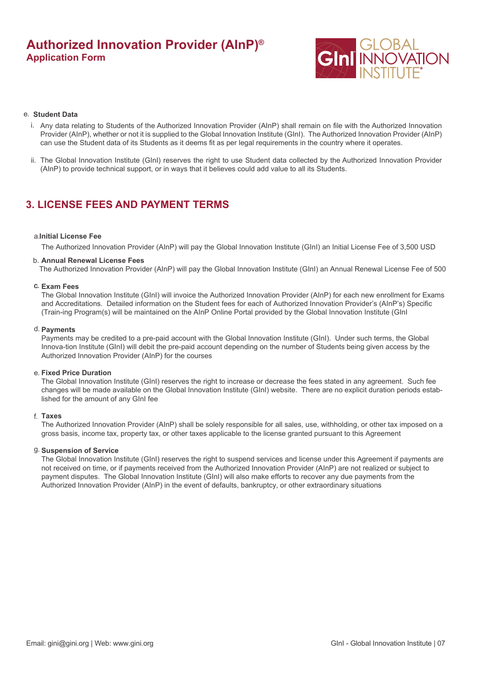

#### **Student Data** e.

- i. Any data relating to Students of the Authorized Innovation Provider (AInP) shall remain on file with the Authorized Innovation Provider (AInP), whether or not it is supplied to the Global Innovation Institute (GInI). The Authorized Innovation Provider (AInP) can use the Student data of its Students as it deems fit as per legal requirements in the country where it operates.
- ii. The Global Innovation Institute (GInI) reserves the right to use Student data collected by the Authorized Innovation Provider (AInP) to provide technical support, or in ways that it believes could add value to all its Students.

## **3. LICENSE FEES AND PAYMENT TERMS**

#### **Initial License Fee** a.

The Authorized Innovation Provider (AInP) will pay the Global Innovation Institute (GInI) an Initial License Fee of 3,500 USD

#### **Annual Renewal License Fees** b.

The Authorized Innovation Provider (AInP) will pay the Global Innovation Institute (GInI) an Annual Renewal License Fee of 500

#### **Exam Fees** c.

The Global Innovation Institute (GInI) will invoice the Authorized Innovation Provider (AInP) for each new enrollment for Exams and Accreditations. Detailed information on the Student fees for each of Authorized Innovation Provider's (AInP's) Specific (Train-ing Program(s) will be maintained on the AInP Online Portal provided by the Global Innovation Institute (GInI

#### **Payments** d.

Payments may be credited to a pre-paid account with the Global Innovation Institute (GInI). Under such terms, the Global Innova-tion Institute (GInI) will debit the pre-paid account depending on the number of Students being given access by the Authorized Innovation Provider (AInP) for the courses

#### **Fixed Price Duration** e.

The Global Innovation Institute (GInI) reserves the right to increase or decrease the fees stated in any agreement. Such fee changes will be made available on the Global Innovation Institute (GInI) website. There are no explicit duration periods established for the amount of any GInI fee

#### **Taxes** f.

The Authorized Innovation Provider (AInP) shall be solely responsible for all sales, use, withholding, or other tax imposed on a gross basis, income tax, property tax, or other taxes applicable to the license granted pursuant to this Agreement

#### **Suspension of Service** g.

The Global Innovation Institute (GInI) reserves the right to suspend services and license under this Agreement if payments are not received on time, or if payments received from the Authorized Innovation Provider (AInP) are not realized or subject to payment disputes. The Global Innovation Institute (GInI) will also make efforts to recover any due payments from the Authorized Innovation Provider (AInP) in the event of defaults, bankruptcy, or other extraordinary situations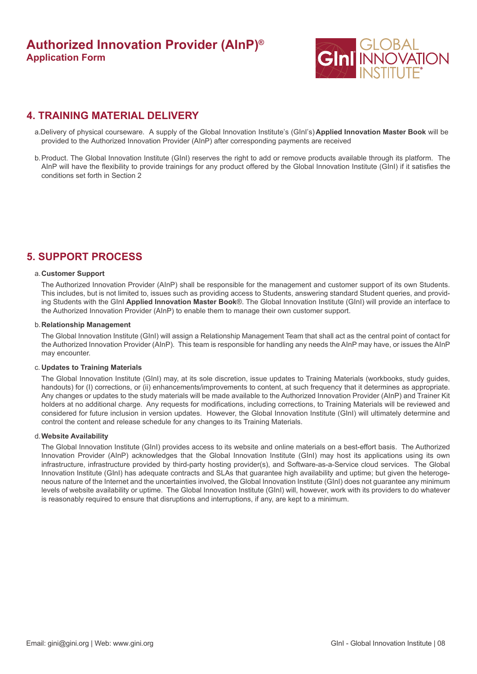

## **4. TRAINING MATERIAL DELIVERY**

- Delivery of physical courseware. A supply of the Global Innovation Institute's (GInI's) **Applied Innovation Master Book** will be a. provided to the Authorized Innovation Provider (AInP) after corresponding payments are received
- Product. The Global Innovation Institute (GInI) reserves the right to add or remove products available through its platform. The b. AInP will have the flexibility to provide trainings for any product offered by the Global Innovation Institute (GInI) if it satisfies the conditions set forth in Section 2

## **5. SUPPORT PROCESS**

#### **Customer Support** a.

The Authorized Innovation Provider (AInP) shall be responsible for the management and customer support of its own Students. This includes, but is not limited to, issues such as providing access to Students, answering standard Student queries, and providing Students with the GInI **Applied Innovation Master Book**®. The Global Innovation Institute (GInI) will provide an interface to the Authorized Innovation Provider (AInP) to enable them to manage their own customer support.

#### **Relationship Management** b.

The Global Innovation Institute (GInI) will assign a Relationship Management Team that shall act as the central point of contact for the Authorized Innovation Provider (AInP). This team is responsible for handling any needs the AInP may have, or issues the AInP may encounter.

#### **Updates to Training Materials** c.

The Global Innovation Institute (GInI) may, at its sole discretion, issue updates to Training Materials (workbooks, study guides, handouts) for (I) corrections, or (ii) enhancements/improvements to content, at such frequency that it determines as appropriate. Any changes or updates to the study materials will be made available to the Authorized Innovation Provider (AInP) and Trainer Kit holders at no additional charge. Any requests for modifications, including corrections, to Training Materials will be reviewed and considered for future inclusion in version updates. However, the Global Innovation Institute (GInI) will ultimately determine and control the content and release schedule for any changes to its Training Materials.

#### **Website Availability** d.

The Global Innovation Institute (GInI) provides access to its website and online materials on a best-effort basis. The Authorized Innovation Provider (AInP) acknowledges that the Global Innovation Institute (GInI) may host its applications using its own infrastructure, infrastructure provided by third-party hosting provider(s), and Software-as-a-Service cloud services. The Global Innovation Institute (GInI) has adequate contracts and SLAs that guarantee high availability and uptime; but given the heterogeneous nature of the Internet and the uncertainties involved, the Global Innovation Institute (GInI) does not guarantee any minimum levels of website availability or uptime. The Global Innovation Institute (GInI) will, however, work with its providers to do whatever is reasonably required to ensure that disruptions and interruptions, if any, are kept to a minimum.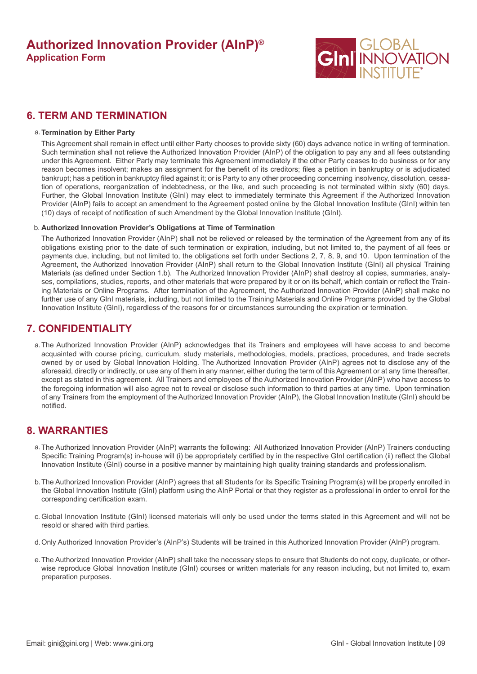

## **6. TERM AND TERMINATION**

#### **Termination by Either Party** a.

This Agreement shall remain in effect until either Party chooses to provide sixty (60) days advance notice in writing of termination. Such termination shall not relieve the Authorized Innovation Provider (AInP) of the obligation to pay any and all fees outstanding under this Agreement. Either Party may terminate this Agreement immediately if the other Party ceases to do business or for any reason becomes insolvent; makes an assignment for the benefit of its creditors; files a petition in bankruptcy or is adjudicated bankrupt; has a petition in bankruptcy filed against it; or is Party to any other proceeding concerning insolvency, dissolution, cessation of operations, reorganization of indebtedness, or the like, and such proceeding is not terminated within sixty (60) days. Further, the Global Innovation Institute (GInI) may elect to immediately terminate this Agreement if the Authorized Innovation Provider (AInP) fails to accept an amendment to the Agreement posted online by the Global Innovation Institute (GInI) within ten (10) days of receipt of notification of such Amendment by the Global Innovation Institute (GInI).

### b. **Authorized Innovation Provider's Obligations at Time of Termination**

The Authorized Innovation Provider (AInP) shall not be relieved or released by the termination of the Agreement from any of its obligations existing prior to the date of such termination or expiration, including, but not limited to, the payment of all fees or payments due, including, but not limited to, the obligations set forth under Sections 2, 7, 8, 9, and 10. Upon termination of the Agreement, the Authorized Innovation Provider (AInP) shall return to the Global Innovation Institute (GInI) all physical Training Materials (as defined under Section 1.b). The Authorized Innovation Provider (AInP) shall destroy all copies, summaries, analyses, compilations, studies, reports, and other materials that were prepared by it or on its behalf, which contain or reflect the Training Materials or Online Programs. After termination of the Agreement, the Authorized Innovation Provider (AInP) shall make no further use of any GInI materials, including, but not limited to the Training Materials and Online Programs provided by the Global Innovation Institute (GInI), regardless of the reasons for or circumstances surrounding the expiration or termination.

### **7. CONFIDENTIALITY**

The Authorized Innovation Provider (AInP) acknowledges that its Trainers and employees will have access to and become a. acquainted with course pricing, curriculum, study materials, methodologies, models, practices, procedures, and trade secrets owned by or used by Global Innovation Holding. The Authorized Innovation Provider (AInP) agrees not to disclose any of the aforesaid, directly or indirectly, or use any of them in any manner, either during the term of this Agreement or at any time thereafter, except as stated in this agreement. All Trainers and employees of the Authorized Innovation Provider (AInP) who have access to the foregoing information will also agree not to reveal or disclose such information to third parties at any time. Upon termination of any Trainers from the employment of the Authorized Innovation Provider (AInP), the Global Innovation Institute (GInI) should be notified.

### **8. WARRANTIES**

- The Authorized Innovation Provider (AInP) warrants the following: All Authorized Innovation Provider (AInP) Trainers conducting a. Specific Training Program(s) in-house will (i) be appropriately certified by in the respective GInI certification (ii) reflect the Global Innovation Institute (GInI) course in a positive manner by maintaining high quality training standards and professionalism.
- The Authorized Innovation Provider (AInP) agrees that all Students for its Specific Training Program(s) will be properly enrolled in b. the Global Innovation Institute (GInI) platform using the AInP Portal or that they register as a professional in order to enroll for the corresponding certification exam.
- Global Innovation Institute (GInI) licensed materials will only be used under the terms stated in this Agreement and will not be c. resold or shared with third parties.
- d. Only Authorized Innovation Provider's (AInP's) Students will be trained in this Authorized Innovation Provider (AInP) program.
- The Authorized Innovation Provider (AInP) shall take the necessary steps to ensure that Students do not copy, duplicate, or other-e. wise reproduce Global Innovation Institute (GInI) courses or written materials for any reason including, but not limited to, exam preparation purposes.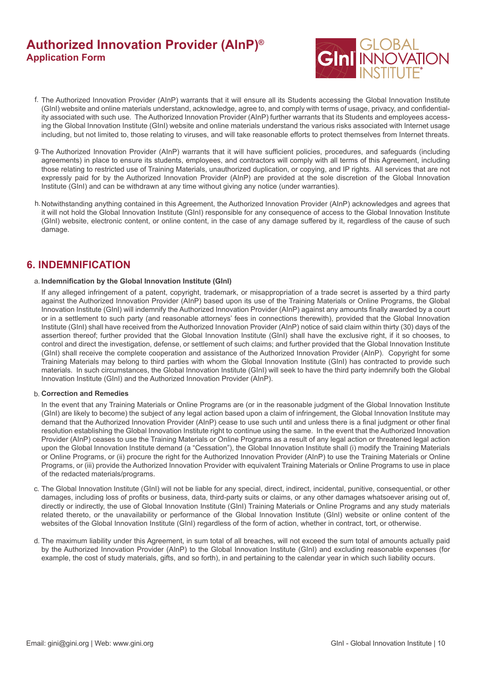

- f. The Authorized Innovation Provider (AInP) warrants that it will ensure all its Students accessing the Global Innovation Institute (GInI) website and online materials understand, acknowledge, agree to, and comply with terms of usage, privacy, and confidentiality associated with such use. The Authorized Innovation Provider (AInP) further warrants that its Students and employees accessing the Global Innovation Institute (GInI) website and online materials understand the various risks associated with Internet usage including, but not limited to, those relating to viruses, and will take reasonable efforts to protect themselves from Internet threats.
- The Authorized Innovation Provider (AInP) warrants that it will have sufficient policies, procedures, and safeguards (including g. agreements) in place to ensure its students, employees, and contractors will comply with all terms of this Agreement, including those relating to restricted use of Training Materials, unauthorized duplication, or copying, and IP rights. All services that are not expressly paid for by the Authorized Innovation Provider (AInP) are provided at the sole discretion of the Global Innovation Institute (GInI) and can be withdrawn at any time without giving any notice (under warranties).
- h. Notwithstanding anything contained in this Agreement, the Authorized Innovation Provider (AInP) acknowledges and agrees that it will not hold the Global Innovation Institute (GInI) responsible for any consequence of access to the Global Innovation Institute (GInI) website, electronic content, or online content, in the case of any damage suffered by it, regardless of the cause of such damage.

## **6. INDEMNIFICATION**

### **Indemnification by the Global Innovation Institute (GInI)** a.

If any alleged infringement of a patent, copyright, trademark, or misappropriation of a trade secret is asserted by a third party against the Authorized Innovation Provider (AInP) based upon its use of the Training Materials or Online Programs, the Global Innovation Institute (GInI) will indemnify the Authorized Innovation Provider (AInP) against any amounts finally awarded by a court or in a settlement to such party (and reasonable attorneys' fees in connections therewith), provided that the Global Innovation Institute (GInI) shall have received from the Authorized Innovation Provider (AInP) notice of said claim within thirty (30) days of the assertion thereof; further provided that the Global Innovation Institute (GInI) shall have the exclusive right, if it so chooses, to control and direct the investigation, defense, or settlement of such claims; and further provided that the Global Innovation Institute (GInI) shall receive the complete cooperation and assistance of the Authorized Innovation Provider (AInP). Copyright for some Training Materials may belong to third parties with whom the Global Innovation Institute (GInI) has contracted to provide such materials. In such circumstances, the Global Innovation Institute (GInI) will seek to have the third party indemnify both the Global Innovation Institute (GInI) and the Authorized Innovation Provider (AInP).

#### **Correction and Remedies** b.

In the event that any Training Materials or Online Programs are (or in the reasonable judgment of the Global Innovation Institute (GInI) are likely to become) the subject of any legal action based upon a claim of infringement, the Global Innovation Institute may demand that the Authorized Innovation Provider (AInP) cease to use such until and unless there is a final judgment or other final resolution establishing the Global Innovation Institute right to continue using the same. In the event that the Authorized Innovation Provider (AInP) ceases to use the Training Materials or Online Programs as a result of any legal action or threatened legal action upon the Global Innovation Institute demand (a "Cessation"), the Global Innovation Institute shall (i) modify the Training Materials or Online Programs, or (ii) procure the right for the Authorized Innovation Provider (AInP) to use the Training Materials or Online Programs, or (iii) provide the Authorized Innovation Provider with equivalent Training Materials or Online Programs to use in place of the redacted materials/programs.

- c. The Global Innovation Institute (GInI) will not be liable for any special, direct, indirect, incidental, punitive, consequential, or other damages, including loss of profits or business, data, third-party suits or claims, or any other damages whatsoever arising out of, directly or indirectly, the use of Global Innovation Institute (GInI) Training Materials or Online Programs and any study materials related thereto, or the unavailability or performance of the Global Innovation Institute (GInI) website or online content of the websites of the Global Innovation Institute (GInI) regardless of the form of action, whether in contract, tort, or otherwise.
- The maximum liability under this Agreement, in sum total of all breaches, will not exceed the sum total of amounts actually paid d. by the Authorized Innovation Provider (AInP) to the Global Innovation Institute (GInI) and excluding reasonable expenses (for example, the cost of study materials, gifts, and so forth), in and pertaining to the calendar year in which such liability occurs.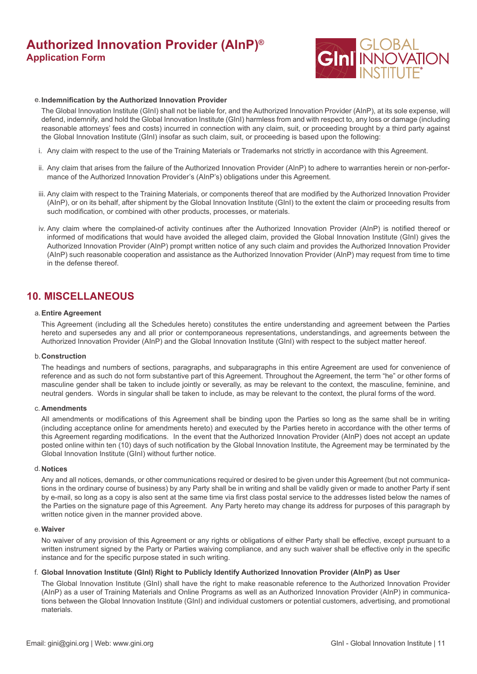

#### **Indemnification by the Authorized Innovation Provider** e.

The Global Innovation Institute (GInI) shall not be liable for, and the Authorized Innovation Provider (AInP), at its sole expense, will defend, indemnify, and hold the Global Innovation Institute (GInI) harmless from and with respect to, any loss or damage (including reasonable attorneys' fees and costs) incurred in connection with any claim, suit, or proceeding brought by a third party against the Global Innovation Institute (GInI) insofar as such claim, suit, or proceeding is based upon the following:

- i. Any claim with respect to the use of the Training Materials or Trademarks not strictly in accordance with this Agreement.
- ii. Any claim that arises from the failure of the Authorized Innovation Provider (AInP) to adhere to warranties herein or non-performance of the Authorized Innovation Provider's (AInP's) obligations under this Agreement.
- iii. Any claim with respect to the Training Materials, or components thereof that are modified by the Authorized Innovation Provider (AInP), or on its behalf, after shipment by the Global Innovation Institute (GInI) to the extent the claim or proceeding results from such modification, or combined with other products, processes, or materials.
- iv. Any claim where the complained-of activity continues after the Authorized Innovation Provider (AInP) is notified thereof or informed of modifications that would have avoided the alleged claim, provided the Global Innovation Institute (GInI) gives the Authorized Innovation Provider (AInP) prompt written notice of any such claim and provides the Authorized Innovation Provider (AInP) such reasonable cooperation and assistance as the Authorized Innovation Provider (AInP) may request from time to time in the defense thereof.

## **10. MISCELLANEOUS**

#### **Entire Agreement** a.

This Agreement (including all the Schedules hereto) constitutes the entire understanding and agreement between the Parties hereto and supersedes any and all prior or contemporaneous representations, understandings, and agreements between the Authorized Innovation Provider (AInP) and the Global Innovation Institute (GInI) with respect to the subject matter hereof.

#### **Construction** b.

The headings and numbers of sections, paragraphs, and subparagraphs in this entire Agreement are used for convenience of reference and as such do not form substantive part of this Agreement. Throughout the Agreement, the term "he" or other forms of masculine gender shall be taken to include jointly or severally, as may be relevant to the context, the masculine, feminine, and neutral genders. Words in singular shall be taken to include, as may be relevant to the context, the plural forms of the word.

#### **Amendments** c.

All amendments or modifications of this Agreement shall be binding upon the Parties so long as the same shall be in writing (including acceptance online for amendments hereto) and executed by the Parties hereto in accordance with the other terms of this Agreement regarding modifications. In the event that the Authorized Innovation Provider (AInP) does not accept an update posted online within ten (10) days of such notification by the Global Innovation Institute, the Agreement may be terminated by the Global Innovation Institute (GInI) without further notice.

#### **Notices** d.

Any and all notices, demands, or other communications required or desired to be given under this Agreement (but not communications in the ordinary course of business) by any Party shall be in writing and shall be validly given or made to another Party if sent by e-mail, so long as a copy is also sent at the same time via first class postal service to the addresses listed below the names of the Parties on the signature page of this Agreement. Any Party hereto may change its address for purposes of this paragraph by written notice given in the manner provided above.

#### **Waiver** e.

No waiver of any provision of this Agreement or any rights or obligations of either Party shall be effective, except pursuant to a written instrument signed by the Party or Parties waiving compliance, and any such waiver shall be effective only in the specific instance and for the specific purpose stated in such writing.

#### **Global Innovation Institute (GInI) Right to Publicly Identify Authorized Innovation Provider (AInP) as User** f.

The Global Innovation Institute (GInI) shall have the right to make reasonable reference to the Authorized Innovation Provider (AInP) as a user of Training Materials and Online Programs as well as an Authorized Innovation Provider (AInP) in communications between the Global Innovation Institute (GInI) and individual customers or potential customers, advertising, and promotional materials.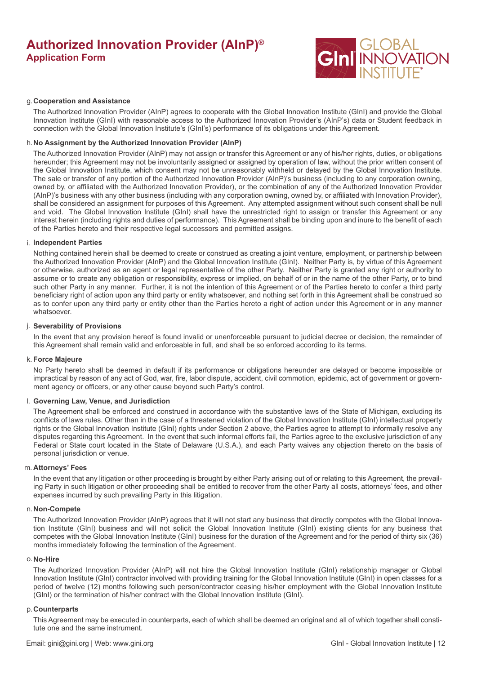

#### **Cooperation and Assistance** g.

The Authorized Innovation Provider (AInP) agrees to cooperate with the Global Innovation Institute (GInI) and provide the Global Innovation Institute (GInI) with reasonable access to the Authorized Innovation Provider's (AInP's) data or Student feedback in connection with the Global Innovation Institute's (GInI's) performance of its obligations under this Agreement.

#### **No Assignment by the Authorized Innovation Provider (AInP)** h.

The Authorized Innovation Provider (AInP) may not assign or transfer this Agreement or any of his/her rights, duties, or obligations hereunder; this Agreement may not be involuntarily assigned or assigned by operation of law, without the prior written consent of the Global Innovation Institute, which consent may not be unreasonably withheld or delayed by the Global Innovation Institute. The sale or transfer of any portion of the Authorized Innovation Provider (AInP)'s business (including to any corporation owning, owned by, or affiliated with the Authorized Innovation Provider), or the combination of any of the Authorized Innovation Provider (AInP)'s business with any other business (including with any corporation owning, owned by, or affiliated with Innovation Provider), shall be considered an assignment for purposes of this Agreement. Any attempted assignment without such consent shall be null and void. The Global Innovation Institute (GInI) shall have the unrestricted right to assign or transfer this Agreement or any interest herein (including rights and duties of performance). This Agreement shall be binding upon and inure to the benefit of each of the Parties hereto and their respective legal successors and permitted assigns.

#### **Independent Parties** i.

Nothing contained herein shall be deemed to create or construed as creating a joint venture, employment, or partnership between the Authorized Innovation Provider (AInP) and the Global Innovation Institute (GInI). Neither Party is, by virtue of this Agreement or otherwise, authorized as an agent or legal representative of the other Party. Neither Party is granted any right or authority to assume or to create any obligation or responsibility, express or implied, on behalf of or in the name of the other Party, or to bind such other Party in any manner. Further, it is not the intention of this Agreement or of the Parties hereto to confer a third party beneficiary right of action upon any third party or entity whatsoever, and nothing set forth in this Agreement shall be construed so as to confer upon any third party or entity other than the Parties hereto a right of action under this Agreement or in any manner whatsoever.

#### **Severability of Provisions** j.

In the event that any provision hereof is found invalid or unenforceable pursuant to judicial decree or decision, the remainder of this Agreement shall remain valid and enforceable in full, and shall be so enforced according to its terms.

#### **Force Majeure** k.

No Party hereto shall be deemed in default if its performance or obligations hereunder are delayed or become impossible or impractical by reason of any act of God, war, fire, labor dispute, accident, civil commotion, epidemic, act of government or government agency or officers, or any other cause beyond such Party's control.

#### **Governing Law, Venue, and Jurisdiction** l.

The Agreement shall be enforced and construed in accordance with the substantive laws of the State of Michigan, excluding its conflicts of laws rules. Other than in the case of a threatened violation of the Global Innovation Institute (GInI) intellectual property rights or the Global Innovation Institute (GInI) rights under Section 2 above, the Parties agree to attempt to informally resolve any disputes regarding this Agreement. In the event that such informal efforts fail, the Parties agree to the exclusive jurisdiction of any Federal or State court located in the State of Delaware (U.S.A.), and each Party waives any objection thereto on the basis of personal jurisdiction or venue.

#### **Attorneys' Fees** m.

In the event that any litigation or other proceeding is brought by either Party arising out of or relating to this Agreement, the prevailing Party in such litigation or other proceeding shall be entitled to recover from the other Party all costs, attorneys' fees, and other expenses incurred by such prevailing Party in this litigation.

#### **Non-Compete** n.

The Authorized Innovation Provider (AInP) agrees that it will not start any business that directly competes with the Global Innovation Institute (GInI) business and will not solicit the Global Innovation Institute (GInI) existing clients for any business that competes with the Global Innovation Institute (GInI) business for the duration of the Agreement and for the period of thirty six (36) months immediately following the termination of the Agreement.

#### **No-Hire** o.

The Authorized Innovation Provider (AInP) will not hire the Global Innovation Institute (GInI) relationship manager or Global Innovation Institute (GInI) contractor involved with providing training for the Global Innovation Institute (GInI) in open classes for a period of twelve (12) months following such person/contractor ceasing his/her employment with the Global Innovation Institute (GInI) or the termination of his/her contract with the Global Innovation Institute (GInI).

#### **Counterparts** p.

This Agreement may be executed in counterparts, each of which shall be deemed an original and all of which together shall constitute one and the same instrument.